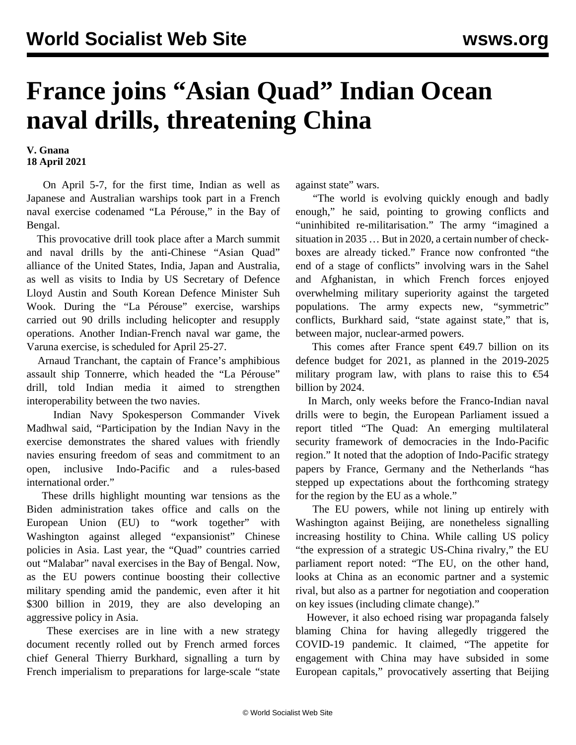## **France joins "Asian Quad" Indian Ocean naval drills, threatening China**

## **V. Gnana 18 April 2021**

 On April 5-7, for the first time, Indian as well as Japanese and Australian warships took part in a French naval exercise codenamed "La Pérouse," in the Bay of Bengal.

 This provocative drill took place after a March summit and naval drills by the anti-Chinese "Asian Quad" alliance of the United States, India, Japan and Australia, as well as visits to India by US Secretary of Defence Lloyd Austin and South Korean Defence Minister Suh Wook. During the "La Pérouse" exercise, warships carried out 90 drills including helicopter and resupply operations. Another Indian-French naval war game, the Varuna exercise, is scheduled for April 25-27.

 Arnaud Tranchant, the captain of France's amphibious assault ship Tonnerre, which headed the "La Pérouse" drill, told Indian media it aimed to strengthen interoperability between the two navies.

 Indian Navy Spokesperson Commander Vivek Madhwal said, "Participation by the Indian Navy in the exercise demonstrates the shared values with friendly navies ensuring freedom of seas and commitment to an open, inclusive Indo-Pacific and a rules-based international order."

 These drills highlight mounting war tensions as the Biden administration takes office and calls on the European Union (EU) to "work together" with Washington against alleged "expansionist" Chinese policies in Asia. Last year, the "Quad" countries carried out "Malabar" naval exercises in the Bay of Bengal. Now, as the EU powers continue boosting their collective military spending amid the pandemic, even after it hit \$300 billion in 2019, they are also developing an aggressive policy in Asia.

 These exercises are in line with a new strategy document recently rolled out by French armed forces chief General Thierry Burkhard, signalling a turn by French imperialism to preparations for large-scale "state against state" wars.

 "The world is evolving quickly enough and badly enough," he said, pointing to growing conflicts and "uninhibited re-militarisation." The army "imagined a situation in 2035 … But in 2020, a certain number of checkboxes are already ticked." France now confronted "the end of a stage of conflicts" involving wars in the Sahel and Afghanistan, in which French forces enjoyed overwhelming military superiority against the targeted populations. The army expects new, "symmetric" conflicts, Burkhard said, "state against state," that is, between major, nuclear-armed powers.

This comes after France spent  $\epsilon$ 49.7 billion on its defence budget for 2021, as planned in the 2019-2025 military program law, with plans to raise this to  $\epsilon$ 54 billion by 2024.

 In March, only weeks before the Franco-Indian naval drills were to begin, the European Parliament issued a report titled "The Quad: An emerging multilateral security framework of democracies in the Indo-Pacific region." It noted that the adoption of Indo-Pacific strategy papers by France, Germany and the Netherlands "has stepped up expectations about the forthcoming strategy for the region by the EU as a whole."

 The EU powers, while not lining up entirely with Washington against Beijing, are nonetheless signalling increasing hostility to China. While calling US policy "the expression of a strategic US-China rivalry," the EU parliament report noted: "The EU, on the other hand, looks at China as an economic partner and a systemic rival, but also as a partner for negotiation and cooperation on key issues (including climate change)."

 However, it also echoed rising war propaganda falsely blaming China for having allegedly triggered the COVID-19 pandemic. It claimed, "The appetite for engagement with China may have subsided in some European capitals," provocatively asserting that Beijing